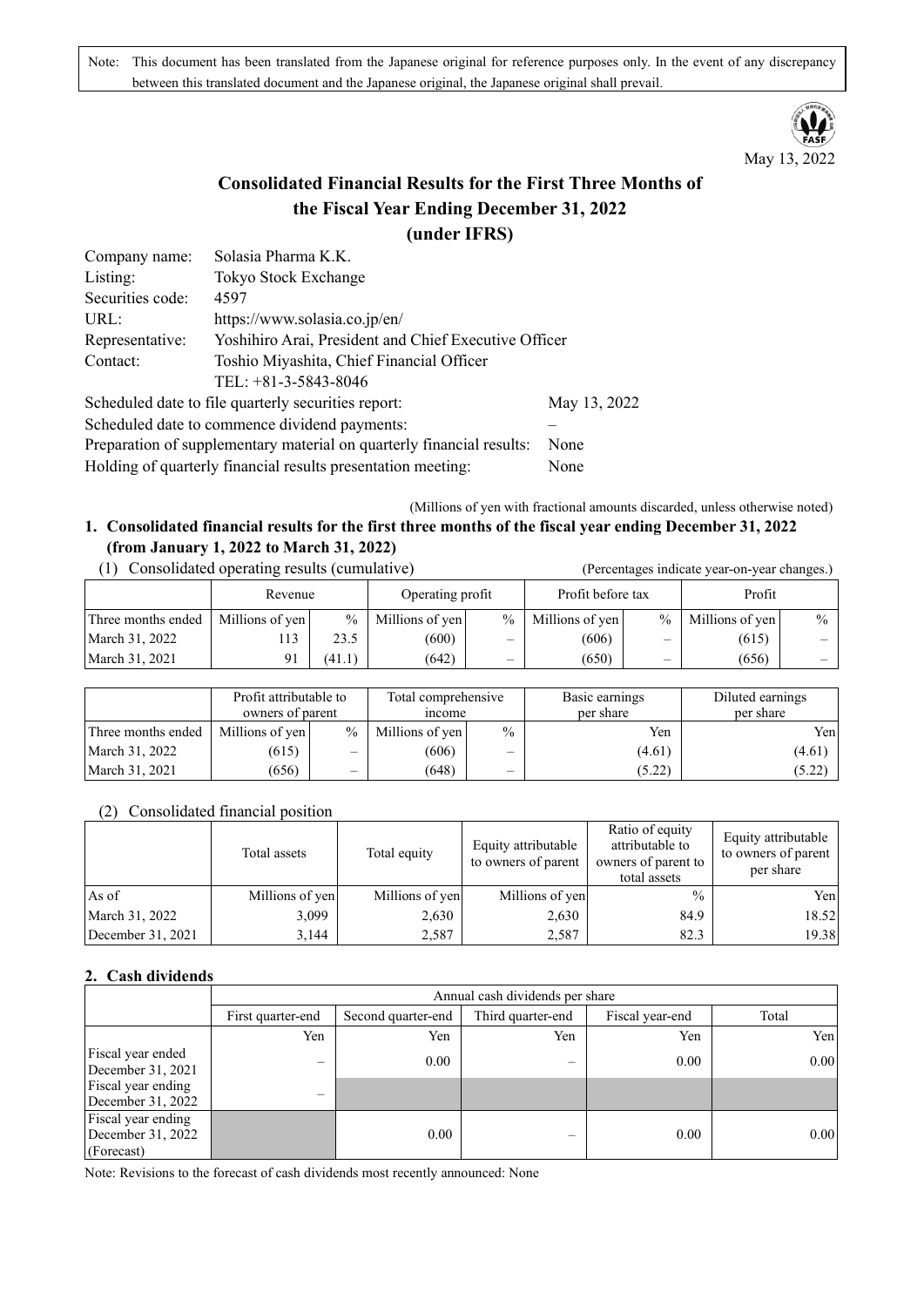Note: This document has been translated from the Japanese original for reference purposes only. In the event of any discrepancy between this translated document and the Japanese original, the Japanese original shall prevail.



# **Consolidated Financial Results for the First Three Months of the Fiscal Year Ending December 31, 2022 (under IFRS)**

| Company name:    | Solasia Pharma K.K.                                                   |              |  |  |  |  |
|------------------|-----------------------------------------------------------------------|--------------|--|--|--|--|
| Listing:         | Tokyo Stock Exchange                                                  |              |  |  |  |  |
| Securities code: | 4597                                                                  |              |  |  |  |  |
| URL:             | https://www.solasia.co.jp/en/                                         |              |  |  |  |  |
| Representative:  | Yoshihiro Arai, President and Chief Executive Officer                 |              |  |  |  |  |
| Contact:         | Toshio Miyashita, Chief Financial Officer                             |              |  |  |  |  |
|                  | TEL: $+81-3-5843-8046$                                                |              |  |  |  |  |
|                  | Scheduled date to file quarterly securities report:                   | May 13, 2022 |  |  |  |  |
|                  | Scheduled date to commence dividend payments:                         |              |  |  |  |  |
|                  | Preparation of supplementary material on quarterly financial results: | None         |  |  |  |  |
|                  | Holding of quarterly financial results presentation meeting:          | None         |  |  |  |  |

(Millions of yen with fractional amounts discarded, unless otherwise noted)

### **1. Consolidated financial results for the first three months of the fiscal year ending December 31, 2022 (from January 1, 2022 to March 31, 2022)** (1) Consolidated operating results (cumulative) (Percentages indicate year-on-year changes.)

|                    | Revenue         |        | Operating profit |                          | Profit before tax |                          | Profit          |               |
|--------------------|-----------------|--------|------------------|--------------------------|-------------------|--------------------------|-----------------|---------------|
| Three months ended | Millions of yen | $\%$   | Millions of yen  | $\frac{0}{0}$            | Millions of yen   | $\frac{0}{0}$            | Millions of yen | $\frac{0}{0}$ |
| March 31, 2022     | 13              | 23.5   | (600)            | $\overline{\phantom{0}}$ | (606)             |                          | (615)           |               |
| March 31, 2021     | 91              | (41.1) | (642)            | $\overline{\phantom{a}}$ | (650)             | $\overline{\phantom{m}}$ | (656)           | _             |
|                    |                 |        |                  |                          |                   |                          |                 |               |

|                    | Profit attributable to<br>owners of parent |               | Total comprehensive<br>mcome |                          | Basic earnings<br>per share | Diluted earnings<br>per share |
|--------------------|--------------------------------------------|---------------|------------------------------|--------------------------|-----------------------------|-------------------------------|
| Three months ended | Millions of yen                            | $\frac{0}{0}$ | Millions of yen              | $\frac{0}{0}$            | Yen                         | Yenl                          |
| March 31, 2022     | (615)                                      |               | (606)                        | $\overline{\phantom{0}}$ | (4.61)                      | (4.61)                        |
| March 31, 2021     | (656)                                      | -             | (648)                        | —                        | (5.22)                      | (5.22)                        |

### (2) Consolidated financial position

|                     | Total assets    | Total equity    | Equity attributable<br>to owners of parent | Ratio of equity<br>attributable to<br>owners of parent to<br>total assets | Equity attributable<br>to owners of parent<br>per share |
|---------------------|-----------------|-----------------|--------------------------------------------|---------------------------------------------------------------------------|---------------------------------------------------------|
| As of               | Millions of yen | Millions of yen | Millions of yen                            | $\frac{0}{0}$                                                             | Yen                                                     |
| March 31, 2022      | 3,099           | 2,630           | 2,630                                      | 84.9                                                                      | 18.52                                                   |
| December $31, 2021$ | 3,144           | 2,587           | 2,587                                      | 82.3                                                                      | 19.38                                                   |

## **2. Cash dividends**

|                                                              | Annual cash dividends per share |                    |                   |                 |       |  |  |  |
|--------------------------------------------------------------|---------------------------------|--------------------|-------------------|-----------------|-------|--|--|--|
|                                                              | First quarter-end               | Second quarter-end | Third quarter-end | Fiscal year-end | Total |  |  |  |
|                                                              | Yen                             | Yen                | Yen               | Yen             | Yen   |  |  |  |
| Fiscal year ended<br>December 31, 2021<br>Fiscal year ending |                                 | 0.00               | —                 | 0.00            | 0.00  |  |  |  |
| December $31, 2022$                                          |                                 |                    |                   |                 |       |  |  |  |
| Fiscal year ending<br>December $31, 2022$<br>(Forecast)      |                                 | 0.00               |                   | 0.00            | 0.00  |  |  |  |

Note: Revisions to the forecast of cash dividends most recently announced: None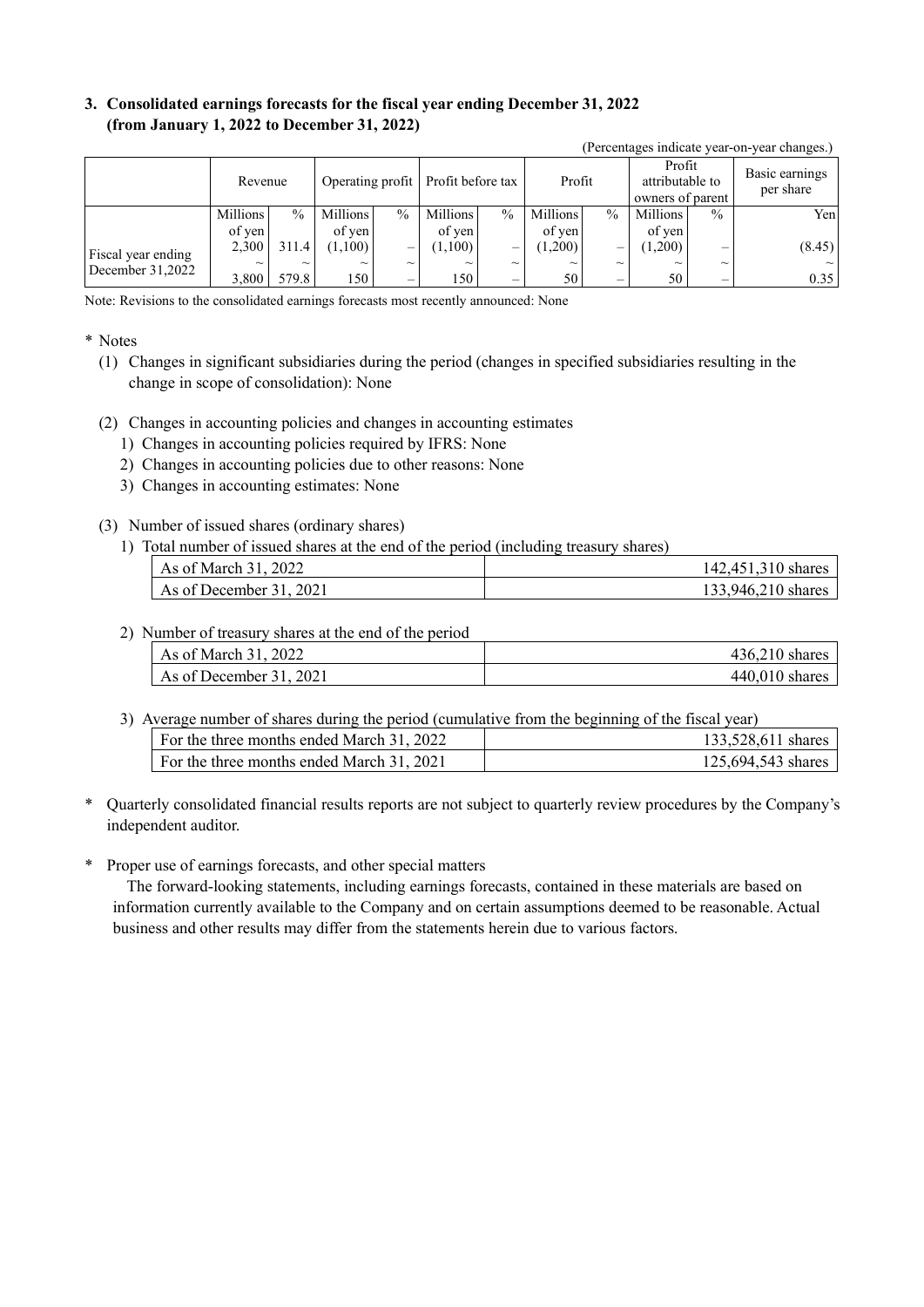## **3. Consolidated earnings forecasts for the fiscal year ending December 31, 2022 (from January 1, 2022 to December 31, 2022)**

|                    | Revenue  |               |          |               | Operating profit   Profit before tax |                           | Profit          |        | Profit<br>attributable to<br>owners of parent |                           | Basic earnings<br>per share |
|--------------------|----------|---------------|----------|---------------|--------------------------------------|---------------------------|-----------------|--------|-----------------------------------------------|---------------------------|-----------------------------|
|                    | Millions | $\frac{0}{0}$ | Millions | $\frac{0}{0}$ | Millions                             | $\frac{0}{0}$             | <b>Millions</b> | $\%$   | <b>Millions</b>                               | $\frac{0}{0}$             | Yen                         |
|                    | of yen   |               | of ven   |               | of yen                               |                           | of ven          |        | of yen                                        |                           |                             |
| Fiscal year ending | 2,300    | 311.4         | (1,100)  | —             | $(1,100)$                            | -                         | (1,200)         |        | (1,200)                                       | –                         | (8.45)                      |
| December $31,2022$ | $\sim$   | $\sim$        | $\sim$   | $\sim$        | $\sim$                               | $\widetilde{\phantom{m}}$ | $\sim$          | $\sim$ | $\sim$                                        | $\widetilde{\phantom{m}}$ | $\sim$                      |
|                    | 3.800    | 579.8         | l 50 I   | -             | l 50 I                               |                           | 50              | –      | 50                                            |                           | 0.35                        |

(Percentages indicate year-on-year changes.)

Note: Revisions to the consolidated earnings forecasts most recently announced: None

#### \* Notes

- (1) Changes in significant subsidiaries during the period (changes in specified subsidiaries resulting in the change in scope of consolidation): None
- (2) Changes in accounting policies and changes in accounting estimates
	- 1) Changes in accounting policies required by IFRS: None
	- 2) Changes in accounting policies due to other reasons: None
	- 3) Changes in accounting estimates: None
- (3) Number of issued shares (ordinary shares)
	- 1) Total number of issued shares at the end of the period (including treasury shares)

| As of March 31, 2022    | 142,451,310 shares |
|-------------------------|--------------------|
| As of December 31, 2021 | 133,946,210 shares |

2) Number of treasury shares at the end of the period

| As of March 31, 2022    | $436.210$ shares |
|-------------------------|------------------|
| As of December 31, 2021 | $440.010$ shares |

3) Average number of shares during the period (cumulative from the beginning of the fiscal year)

| For the three months ended March 31, 2022 | 133,528,611 shares |
|-------------------------------------------|--------------------|
| For the three months ended March 31, 2021 | 125,694,543 shares |

- \* Quarterly consolidated financial results reports are not subject to quarterly review procedures by the Company's independent auditor.
- \* Proper use of earnings forecasts, and other special matters

The forward-looking statements, including earnings forecasts, contained in these materials are based on information currently available to the Company and on certain assumptions deemed to be reasonable. Actual business and other results may differ from the statements herein due to various factors.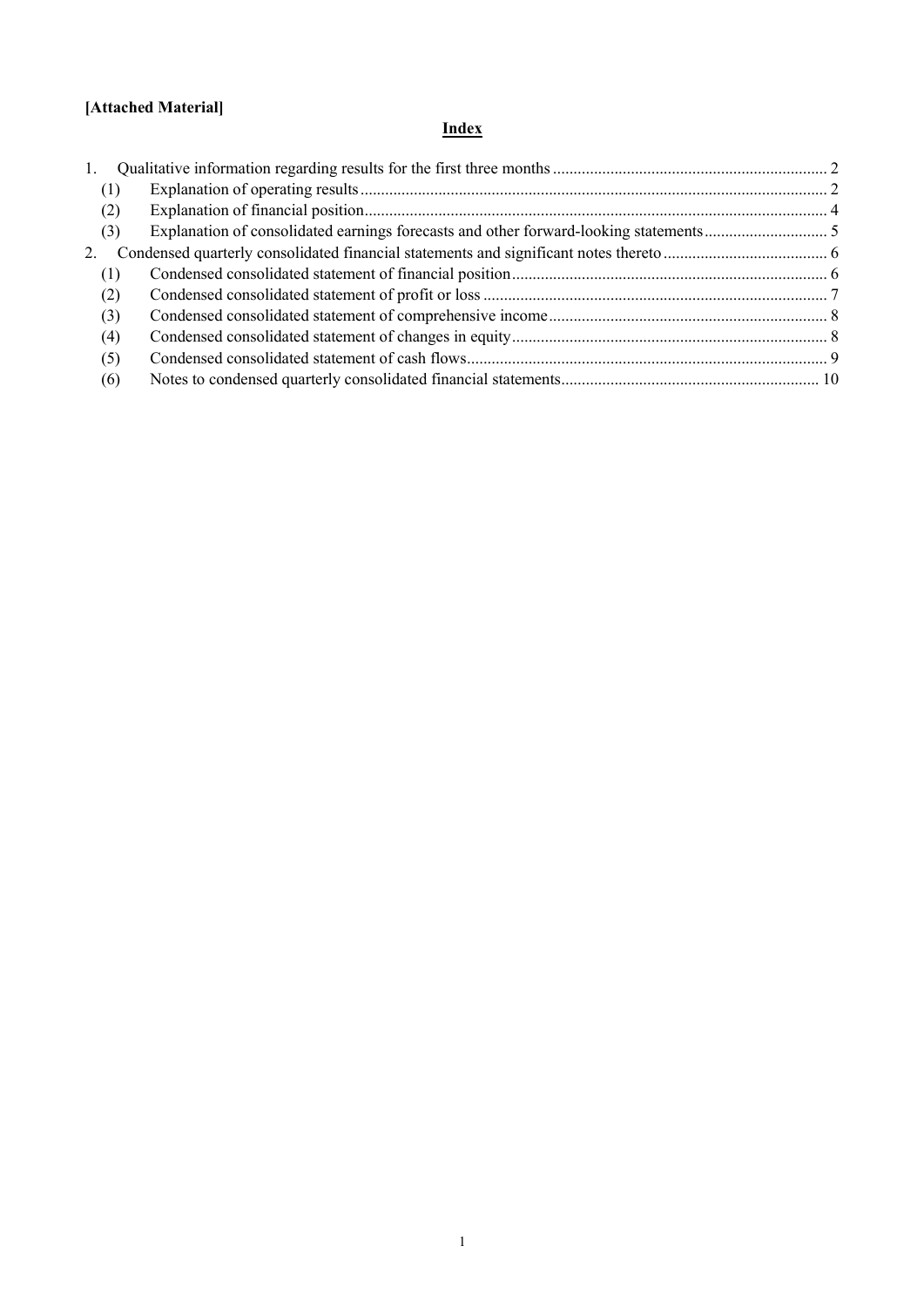# **[Attached Material]**

# **Index**

| 1.  |  |
|-----|--|
| (1) |  |
| (2) |  |
| (3) |  |
| 2.  |  |
| (1) |  |
| (2) |  |
| (3) |  |
| (4) |  |
| (5) |  |
| (6) |  |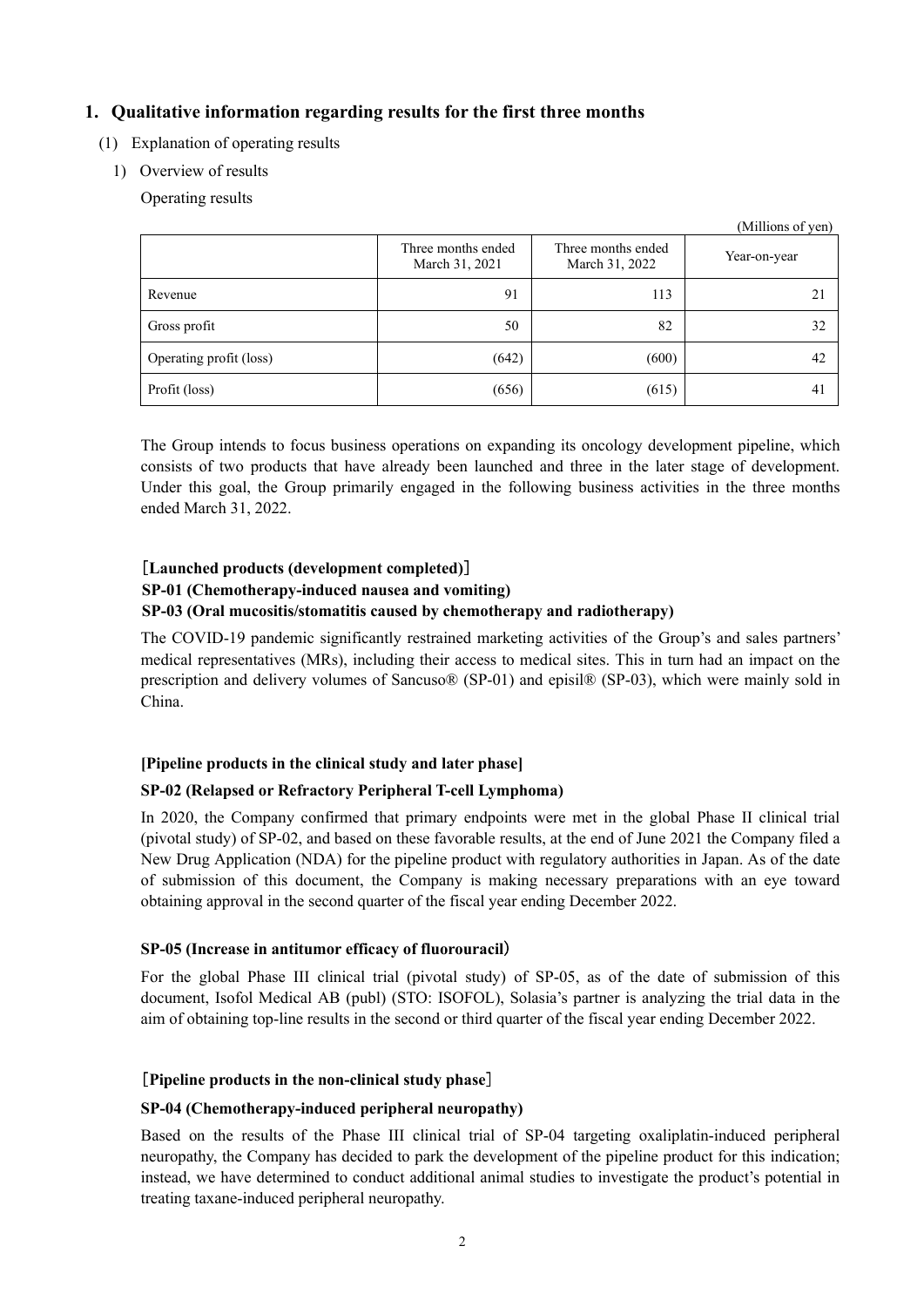## <span id="page-3-0"></span>**1. Qualitative information regarding results for the first three months**

- <span id="page-3-1"></span>(1) Explanation of operating results
	- 1) Overview of results

Operating results

|                         |                                      |                                      | (Millions of yen) |
|-------------------------|--------------------------------------|--------------------------------------|-------------------|
|                         | Three months ended<br>March 31, 2021 | Three months ended<br>March 31, 2022 | Year-on-year      |
| Revenue                 | 91                                   | 113                                  | 21                |
| Gross profit            | 50                                   | 82                                   | 32                |
| Operating profit (loss) | (642)                                | (600)                                | 42                |
| Profit (loss)           | (656)                                | (615)                                | 4 <sub>1</sub>    |

The Group intends to focus business operations on expanding its oncology development pipeline, which consists of two products that have already been launched and three in the later stage of development. Under this goal, the Group primarily engaged in the following business activities in the three months ended March 31, 2022.

## [**Launched products (development completed)**] **SP-01 (Chemotherapy-induced nausea and vomiting) SP-03 (Oral mucositis/stomatitis caused by chemotherapy and radiotherapy)**

The COVID-19 pandemic significantly restrained marketing activities of the Group's and sales partners' medical representatives (MRs), including their access to medical sites. This in turn had an impact on the prescription and delivery volumes of Sancuso® (SP-01) and episil® (SP-03), which were mainly sold in China.

#### **[Pipeline products in the clinical study and later phase]**

### **SP-02 (Relapsed or Refractory Peripheral T-cell Lymphoma)**

In 2020, the Company confirmed that primary endpoints were met in the global Phase II clinical trial (pivotal study) of SP-02, and based on these favorable results, at the end of June 2021 the Company filed a New Drug Application (NDA) for the pipeline product with regulatory authorities in Japan. As of the date of submission of this document, the Company is making necessary preparations with an eye toward obtaining approval in the second quarter of the fiscal year ending December 2022.

#### **SP-05 (Increase in antitumor efficacy of fluorouracil**)

For the global Phase III clinical trial (pivotal study) of SP-05, as of the date of submission of this document, Isofol Medical AB (publ) (STO: ISOFOL), Solasia's partner is analyzing the trial data in the aim of obtaining top-line results in the second or third quarter of the fiscal year ending December 2022.

#### [**Pipeline products in the non-clinical study phase**]

#### **SP-04 (Chemotherapy-induced peripheral neuropathy)**

Based on the results of the Phase III clinical trial of SP-04 targeting oxaliplatin-induced peripheral neuropathy, the Company has decided to park the development of the pipeline product for this indication; instead, we have determined to conduct additional animal studies to investigate the product's potential in treating taxane-induced peripheral neuropathy.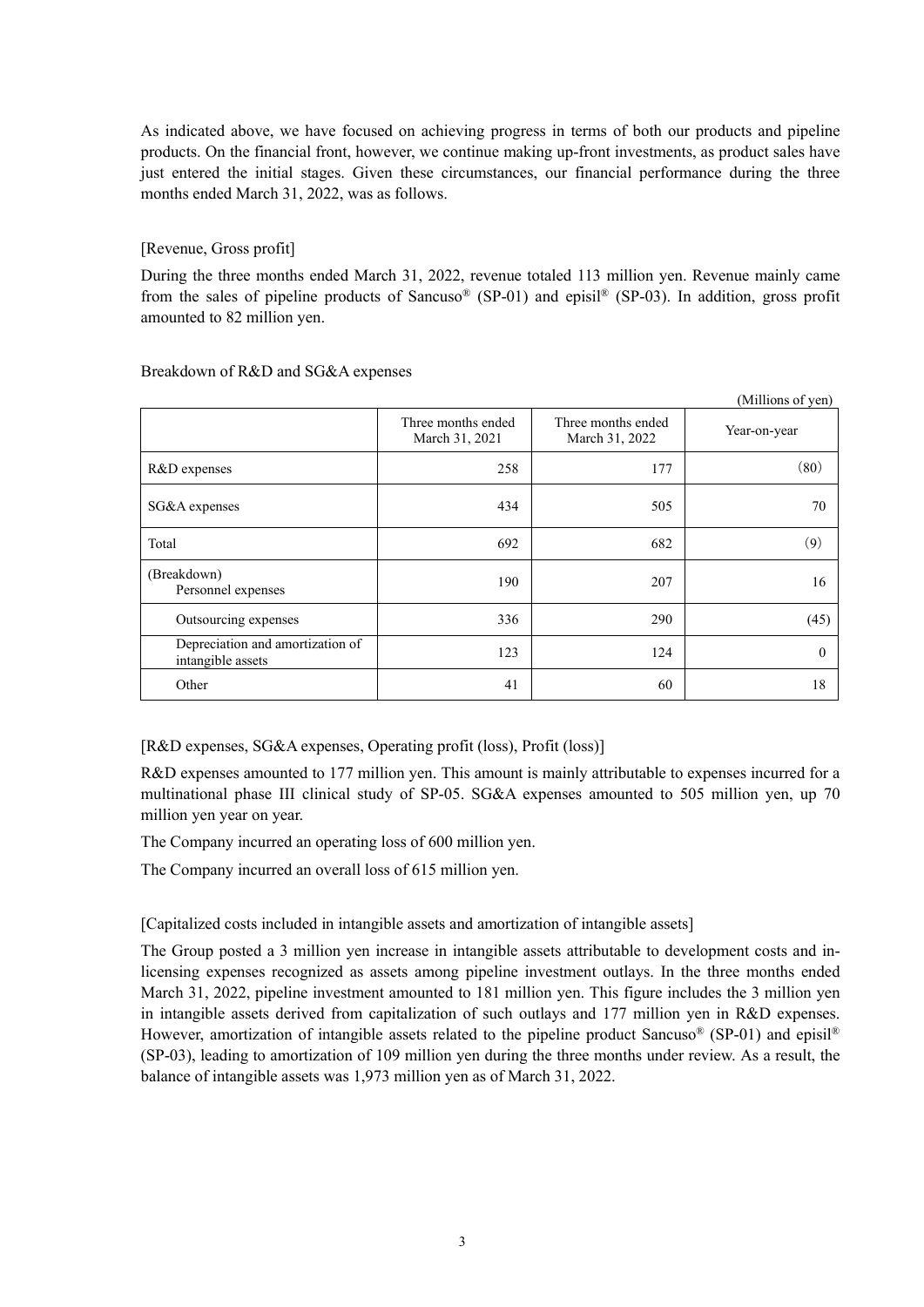As indicated above, we have focused on achieving progress in terms of both our products and pipeline products. On the financial front, however, we continue making up-front investments, as product sales have just entered the initial stages. Given these circumstances, our financial performance during the three months ended March 31, 2022, was as follows.

### [Revenue, Gross profit]

During the three months ended March 31, 2022, revenue totaled 113 million yen. Revenue mainly came from the sales of pipeline products of Sancuso® (SP-01) and episil® (SP-03). In addition, gross profit amounted to 82 million yen.

|                                                       |                                      |                                      | (Millions of yen) |
|-------------------------------------------------------|--------------------------------------|--------------------------------------|-------------------|
|                                                       | Three months ended<br>March 31, 2021 | Three months ended<br>March 31, 2022 | Year-on-year      |
| R&D expenses                                          | 258                                  | 177                                  | (80)              |
| SG&A expenses                                         | 434                                  | 505                                  | 70                |
| Total                                                 | 692                                  | 682                                  | (9)               |
| (Breakdown)<br>Personnel expenses                     | 190                                  | 207                                  | 16                |
| Outsourcing expenses                                  | 336                                  | 290                                  | (45)              |
| Depreciation and amortization of<br>intangible assets | 123                                  | 124                                  | $\Omega$          |
| Other                                                 | 41                                   | 60                                   | 18                |

#### Breakdown of R&D and SG&A expenses

[R&D expenses, SG&A expenses, Operating profit (loss), Profit (loss)]

R&D expenses amounted to 177 million yen. This amount is mainly attributable to expenses incurred for a multinational phase III clinical study of SP-05. SG&A expenses amounted to 505 million yen, up 70 million yen year on year.

The Company incurred an operating loss of 600 million yen.

The Company incurred an overall loss of 615 million yen.

## [Capitalized costs included in intangible assets and amortization of intangible assets]

The Group posted a 3 million yen increase in intangible assets attributable to development costs and inlicensing expenses recognized as assets among pipeline investment outlays. In the three months ended March 31, 2022, pipeline investment amounted to 181 million yen. This figure includes the 3 million yen in intangible assets derived from capitalization of such outlays and 177 million yen in R&D expenses. However, amortization of intangible assets related to the pipeline product Sancuso<sup>®</sup> (SP-01) and episil<sup>®</sup> (SP-03), leading to amortization of 109 million yen during the three months under review. As a result, the balance of intangible assets was 1,973 million yen as of March 31, 2022.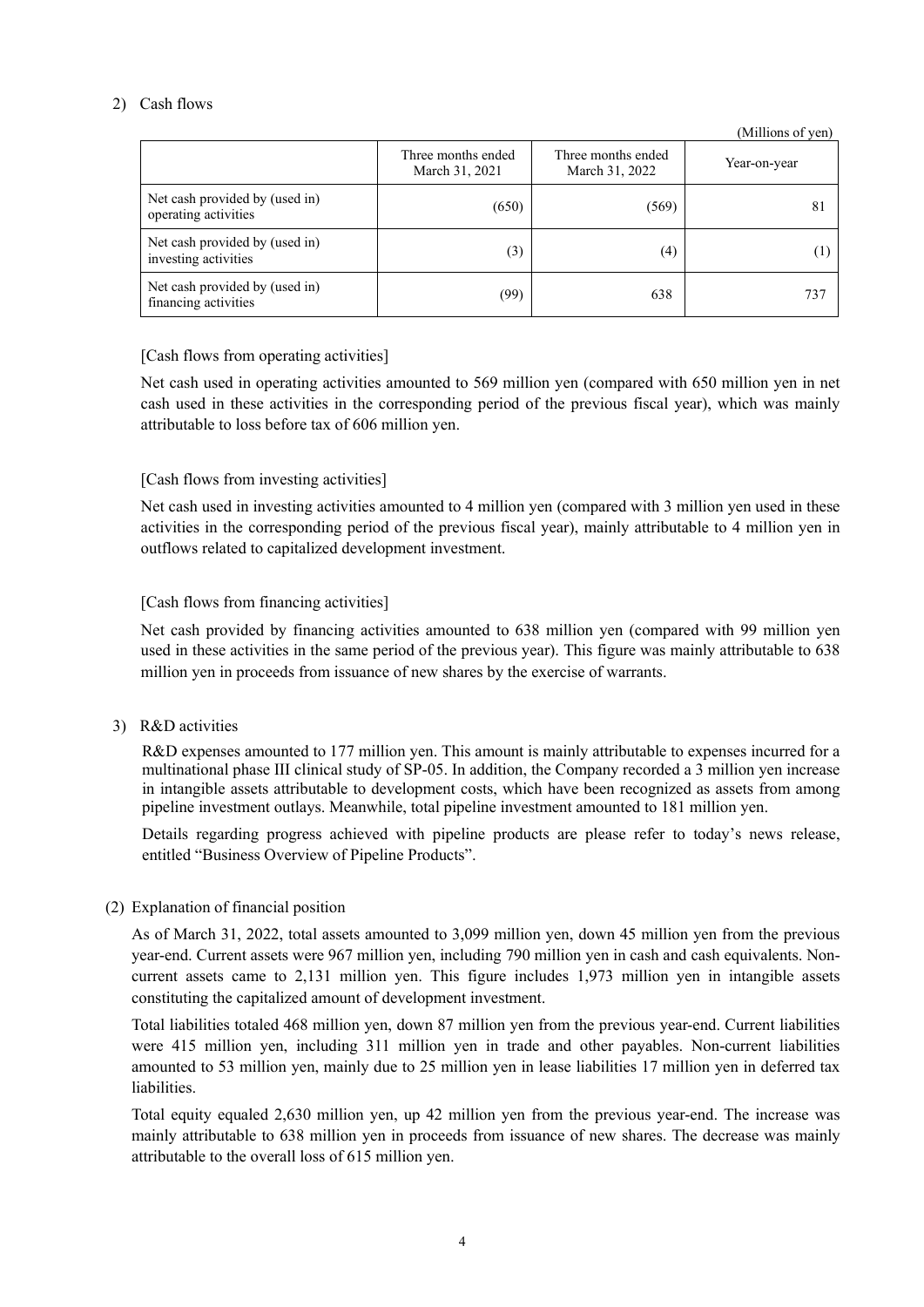#### 2) Cash flows

|                                                        |                                      |                                      | (Millions of yen) |
|--------------------------------------------------------|--------------------------------------|--------------------------------------|-------------------|
|                                                        | Three months ended<br>March 31, 2021 | Three months ended<br>March 31, 2022 | Year-on-year      |
| Net cash provided by (used in)<br>operating activities | (650)                                | (569)                                | 81                |
| Net cash provided by (used in)<br>investing activities | (3)                                  | (4)                                  |                   |
| Net cash provided by (used in)<br>financing activities | (99)                                 | 638                                  | 737               |

#### [Cash flows from operating activities]

Net cash used in operating activities amounted to 569 million yen (compared with 650 million yen in net cash used in these activities in the corresponding period of the previous fiscal year), which was mainly attributable to loss before tax of 606 million yen.

#### [Cash flows from investing activities]

Net cash used in investing activities amounted to 4 million yen (compared with 3 million yen used in these activities in the corresponding period of the previous fiscal year), mainly attributable to 4 million yen in outflows related to capitalized development investment.

#### [Cash flows from financing activities]

Net cash provided by financing activities amounted to 638 million yen (compared with 99 million yen used in these activities in the same period of the previous year). This figure was mainly attributable to 638 million yen in proceeds from issuance of new shares by the exercise of warrants.

3) R&D activities

R&D expenses amounted to 177 million yen. This amount is mainly attributable to expenses incurred for a multinational phase III clinical study of SP-05. In addition, the Company recorded a 3 million yen increase in intangible assets attributable to development costs, which have been recognized as assets from among pipeline investment outlays. Meanwhile, total pipeline investment amounted to 181 million yen.

Details regarding progress achieved with pipeline products are please refer to today's news release, entitled "Business Overview of Pipeline Products".

#### <span id="page-5-0"></span>(2) Explanation of financial position

As of March 31, 2022, total assets amounted to 3,099 million yen, down 45 million yen from the previous year-end. Current assets were 967 million yen, including 790 million yen in cash and cash equivalents. Noncurrent assets came to 2,131 million yen. This figure includes 1,973 million yen in intangible assets constituting the capitalized amount of development investment.

Total liabilities totaled 468 million yen, down 87 million yen from the previous year-end. Current liabilities were 415 million yen, including 311 million yen in trade and other payables. Non-current liabilities amounted to 53 million yen, mainly due to 25 million yen in lease liabilities 17 million yen in deferred tax liabilities.

Total equity equaled 2,630 million yen, up 42 million yen from the previous year-end. The increase was mainly attributable to 638 million yen in proceeds from issuance of new shares. The decrease was mainly attributable to the overall loss of 615 million yen.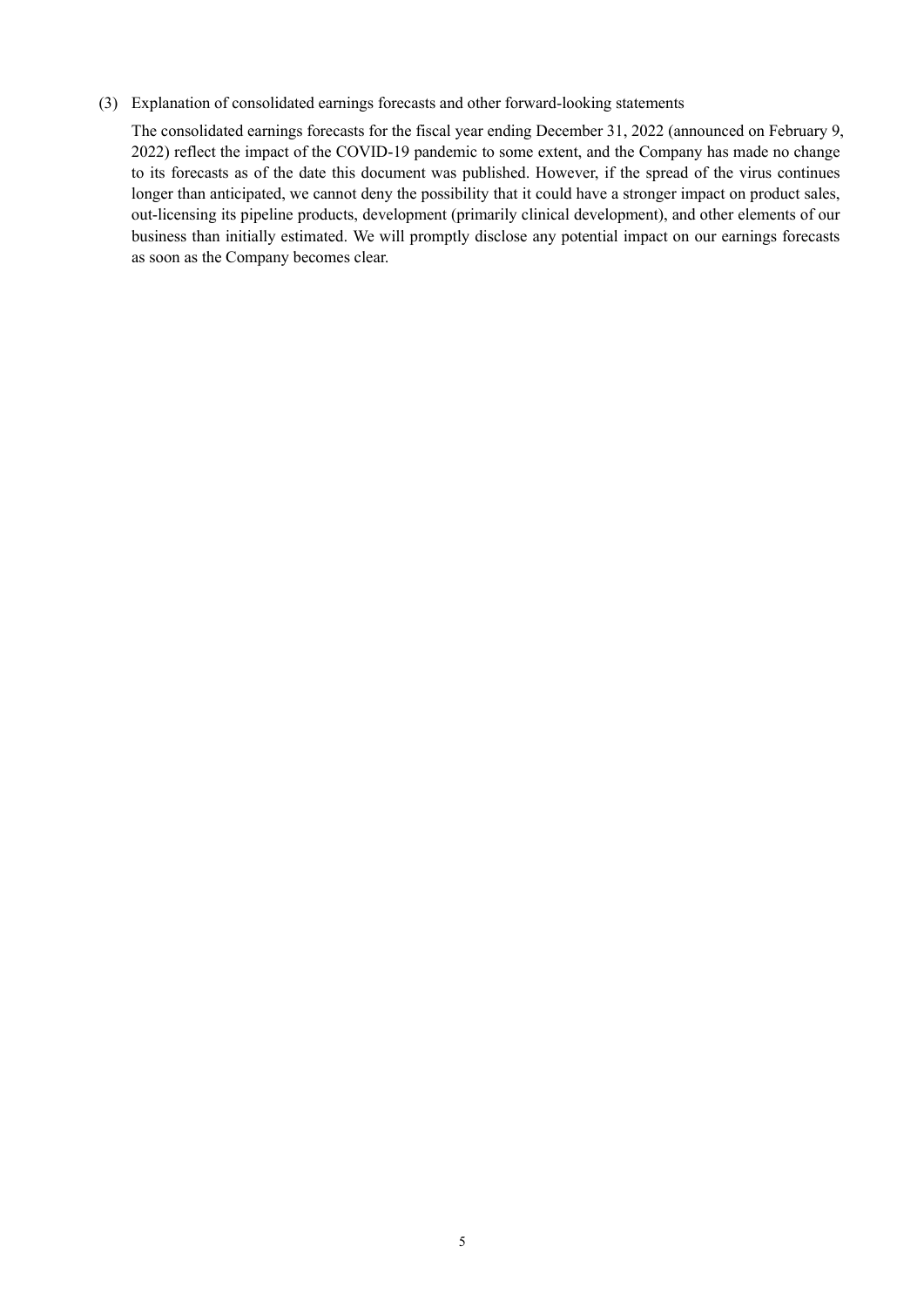#### <span id="page-6-0"></span>(3) Explanation of consolidated earnings forecasts and other forward-looking statements

The consolidated earnings forecasts for the fiscal year ending December 31, 2022 (announced on February 9, 2022) reflect the impact of the COVID-19 pandemic to some extent, and the Company has made no change to its forecasts as of the date this document was published. However, if the spread of the virus continues longer than anticipated, we cannot deny the possibility that it could have a stronger impact on product sales, out-licensing its pipeline products, development (primarily clinical development), and other elements of our business than initially estimated. We will promptly disclose any potential impact on our earnings forecasts as soon as the Company becomes clear.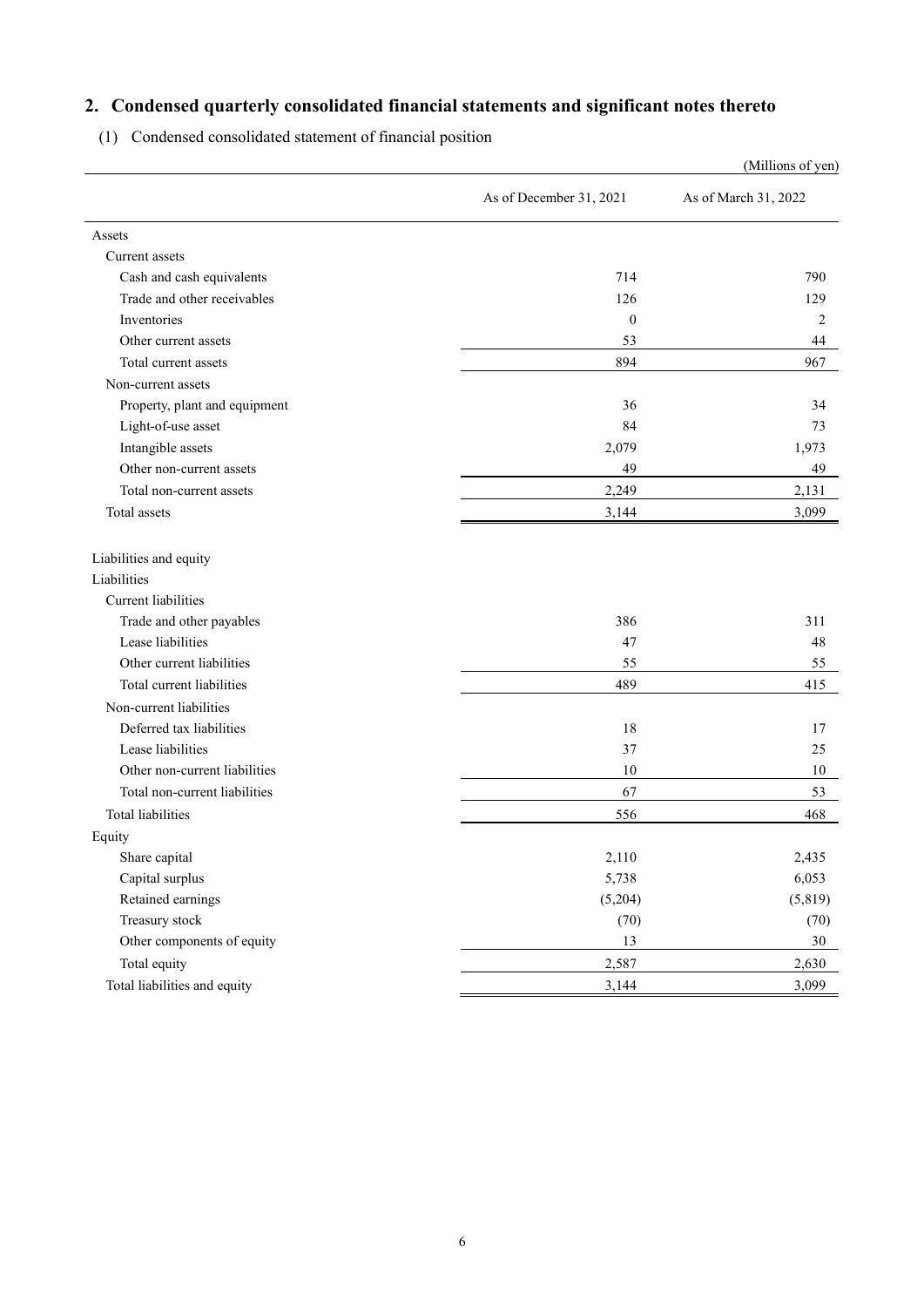# <span id="page-7-0"></span>**2. Condensed quarterly consolidated financial statements and significant notes thereto**

<span id="page-7-1"></span>(1) Condensed consolidated statement of financial position

|                               |                         | (Millions of yen)    |
|-------------------------------|-------------------------|----------------------|
|                               | As of December 31, 2021 | As of March 31, 2022 |
| Assets                        |                         |                      |
| Current assets                |                         |                      |
| Cash and cash equivalents     | 714                     | 790                  |
| Trade and other receivables   | 126                     | 129                  |
| Inventories                   | $\mathbf{0}$            | 2                    |
| Other current assets          | 53                      | 44                   |
| Total current assets          | 894                     | 967                  |
| Non-current assets            |                         |                      |
| Property, plant and equipment | 36                      | 34                   |
| Light-of-use asset            | 84                      | 73                   |
| Intangible assets             | 2,079                   | 1,973                |
| Other non-current assets      | 49                      | 49                   |
| Total non-current assets      | 2,249                   | 2,131                |
| Total assets                  | 3,144                   | 3,099                |
| Liabilities and equity        |                         |                      |
| Liabilities                   |                         |                      |
| Current liabilities           |                         |                      |
| Trade and other payables      | 386                     | 311                  |
| Lease liabilities             | 47                      | 48                   |
| Other current liabilities     | 55                      | 55                   |
| Total current liabilities     | 489                     | 415                  |
| Non-current liabilities       |                         |                      |
| Deferred tax liabilities      | 18                      | 17                   |
| Lease liabilities             | 37                      | 25                   |
| Other non-current liabilities | 10                      | 10                   |
| Total non-current liabilities | 67                      | 53                   |
| <b>Total liabilities</b>      | 556                     | 468                  |
| Equity                        |                         |                      |
| Share capital                 | 2,110                   | 2,435                |
| Capital surplus               | 5,738                   | 6,053                |
| Retained earnings             | (5,204)                 | (5, 819)             |
| Treasury stock                | (70)                    | (70)                 |
| Other components of equity    | 13                      | $30\,$               |
| Total equity                  | 2,587                   | 2,630                |
| Total liabilities and equity  | 3,144                   | 3,099                |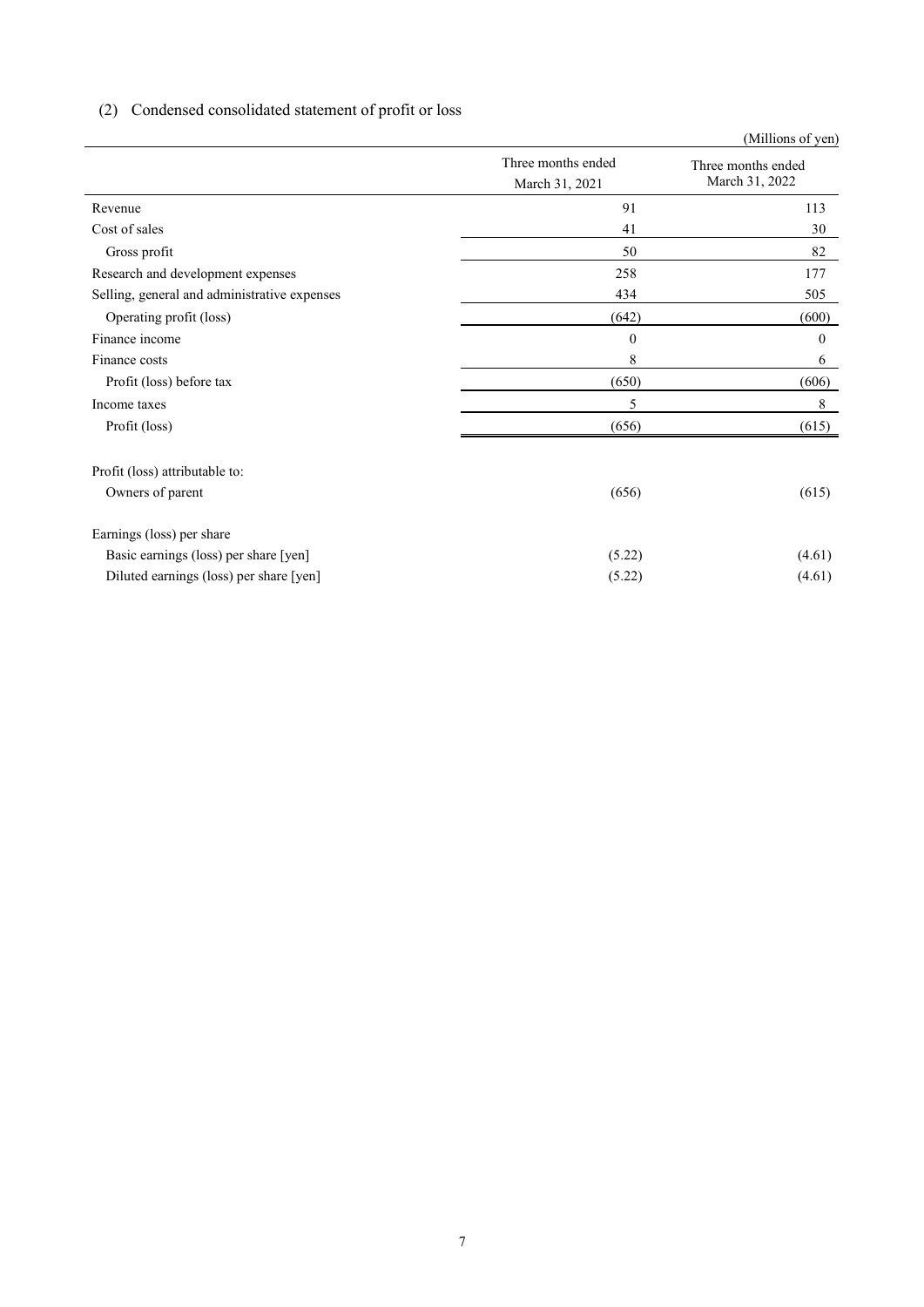# <span id="page-8-0"></span>(2) Condensed consolidated statement of profit or loss

|                                              |                                      | (Millions of yen)                    |
|----------------------------------------------|--------------------------------------|--------------------------------------|
|                                              | Three months ended<br>March 31, 2021 | Three months ended<br>March 31, 2022 |
| Revenue                                      | 91                                   | 113                                  |
| Cost of sales                                | 41                                   | 30                                   |
| Gross profit                                 | 50                                   | 82                                   |
| Research and development expenses            | 258                                  | 177                                  |
| Selling, general and administrative expenses | 434                                  | 505                                  |
| Operating profit (loss)                      | (642)                                | (600)                                |
| Finance income                               | $\mathbf{0}$                         | $\mathbf{0}$                         |
| Finance costs                                | 8                                    | 6                                    |
| Profit (loss) before tax                     | (650)                                | (606)                                |
| Income taxes                                 | 5                                    | 8                                    |
| Profit (loss)                                | (656)                                | (615)                                |
| Profit (loss) attributable to:               |                                      |                                      |
| Owners of parent                             | (656)                                | (615)                                |
| Earnings (loss) per share                    |                                      |                                      |
| Basic earnings (loss) per share [yen]        | (5.22)                               | (4.61)                               |
| Diluted earnings (loss) per share [yen]      | (5.22)                               | (4.61)                               |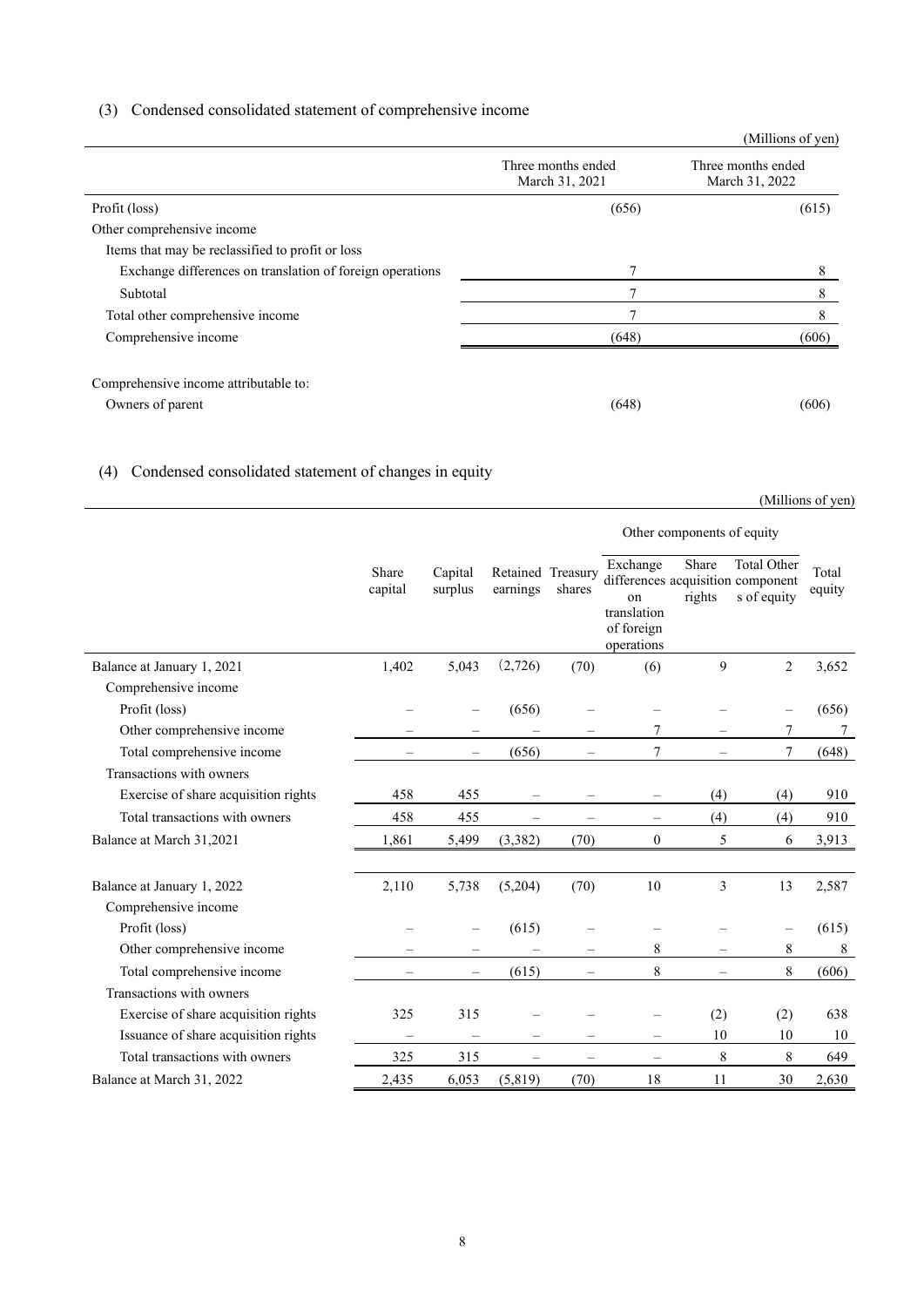#### <span id="page-9-0"></span>(3) Condensed consolidated statement of comprehensive income

|                                                           |                                      | (Millions of yen)                    |
|-----------------------------------------------------------|--------------------------------------|--------------------------------------|
|                                                           | Three months ended<br>March 31, 2021 | Three months ended<br>March 31, 2022 |
| Profit (loss)                                             | (656)                                | (615)                                |
| Other comprehensive income                                |                                      |                                      |
| Items that may be reclassified to profit or loss          |                                      |                                      |
| Exchange differences on translation of foreign operations |                                      | 8                                    |
| Subtotal                                                  |                                      | 8                                    |
| Total other comprehensive income                          | 7                                    | 8                                    |
| Comprehensive income                                      | (648)                                | (606)                                |
| Comprehensive income attributable to:<br>Owners of parent | (648)                                | (606)                                |

# <span id="page-9-1"></span>(4) Condensed consolidated statement of changes in equity

(Millions of yen)

|                                                    |                          |                          |                          |                             | Other components of equity                                |                          |                                                                        |                 |
|----------------------------------------------------|--------------------------|--------------------------|--------------------------|-----------------------------|-----------------------------------------------------------|--------------------------|------------------------------------------------------------------------|-----------------|
|                                                    | Share<br>capital         | Capital<br>surplus       | earnings                 | Retained Treasury<br>shares | Exchange<br>on<br>translation<br>of foreign<br>operations | Share<br>rights          | <b>Total Other</b><br>differences acquisition component<br>s of equity | Total<br>equity |
| Balance at January 1, 2021                         | 1,402                    | 5,043                    | (2,726)                  | (70)                        | (6)                                                       | 9                        | 2                                                                      | 3,652           |
| Comprehensive income                               |                          |                          |                          |                             |                                                           |                          |                                                                        |                 |
| Profit (loss)                                      |                          |                          | (656)                    |                             |                                                           |                          |                                                                        | (656)           |
| Other comprehensive income                         |                          |                          |                          |                             | 7                                                         |                          | 7                                                                      | 7               |
| Total comprehensive income                         | $\overline{\phantom{0}}$ | $-$                      | (656)                    | $\equiv$                    | 7                                                         | $\overline{\phantom{0}}$ | 7                                                                      | (648)           |
| Transactions with owners                           |                          |                          |                          |                             |                                                           |                          |                                                                        |                 |
| Exercise of share acquisition rights               | 458                      | 455                      |                          |                             |                                                           | (4)                      | (4)                                                                    | 910             |
| Total transactions with owners                     | 458                      | 455                      |                          |                             | $\equiv$                                                  | (4)                      | (4)                                                                    | 910             |
| Balance at March 31,2021                           | 1,861                    | 5,499                    | (3,382)                  | (70)                        | $\theta$                                                  | 5                        | 6                                                                      | 3,913           |
| Balance at January 1, 2022<br>Comprehensive income | 2,110                    | 5,738                    | (5,204)                  | (70)                        | 10                                                        | 3                        | 13                                                                     | 2,587           |
| Profit (loss)                                      |                          |                          | (615)                    |                             |                                                           |                          | $\overline{\phantom{0}}$                                               | (615)           |
| Other comprehensive income                         |                          | -                        |                          | —                           | 8                                                         | -                        | $\,$ 8 $\,$                                                            | 8               |
| Total comprehensive income                         |                          | $\overline{\phantom{0}}$ | (615)                    | -                           | 8                                                         |                          | $\,$ 8 $\,$                                                            | (606)           |
| Transactions with owners                           |                          |                          |                          |                             |                                                           |                          |                                                                        |                 |
| Exercise of share acquisition rights               | 325                      | 315                      |                          |                             |                                                           | (2)                      | (2)                                                                    | 638             |
| Issuance of share acquisition rights               | $\equiv$                 | $\equiv$                 |                          |                             | $\equiv$                                                  | 10                       | 10                                                                     | 10              |
| Total transactions with owners                     | 325                      | 315                      | $\overline{\phantom{0}}$ | $\overline{\phantom{0}}$    | $\equiv$                                                  | 8                        | 8                                                                      | 649             |
| Balance at March 31, 2022                          | 2,435                    | 6,053                    | (5,819)                  | (70)                        | 18                                                        | 11                       | 30                                                                     | 2,630           |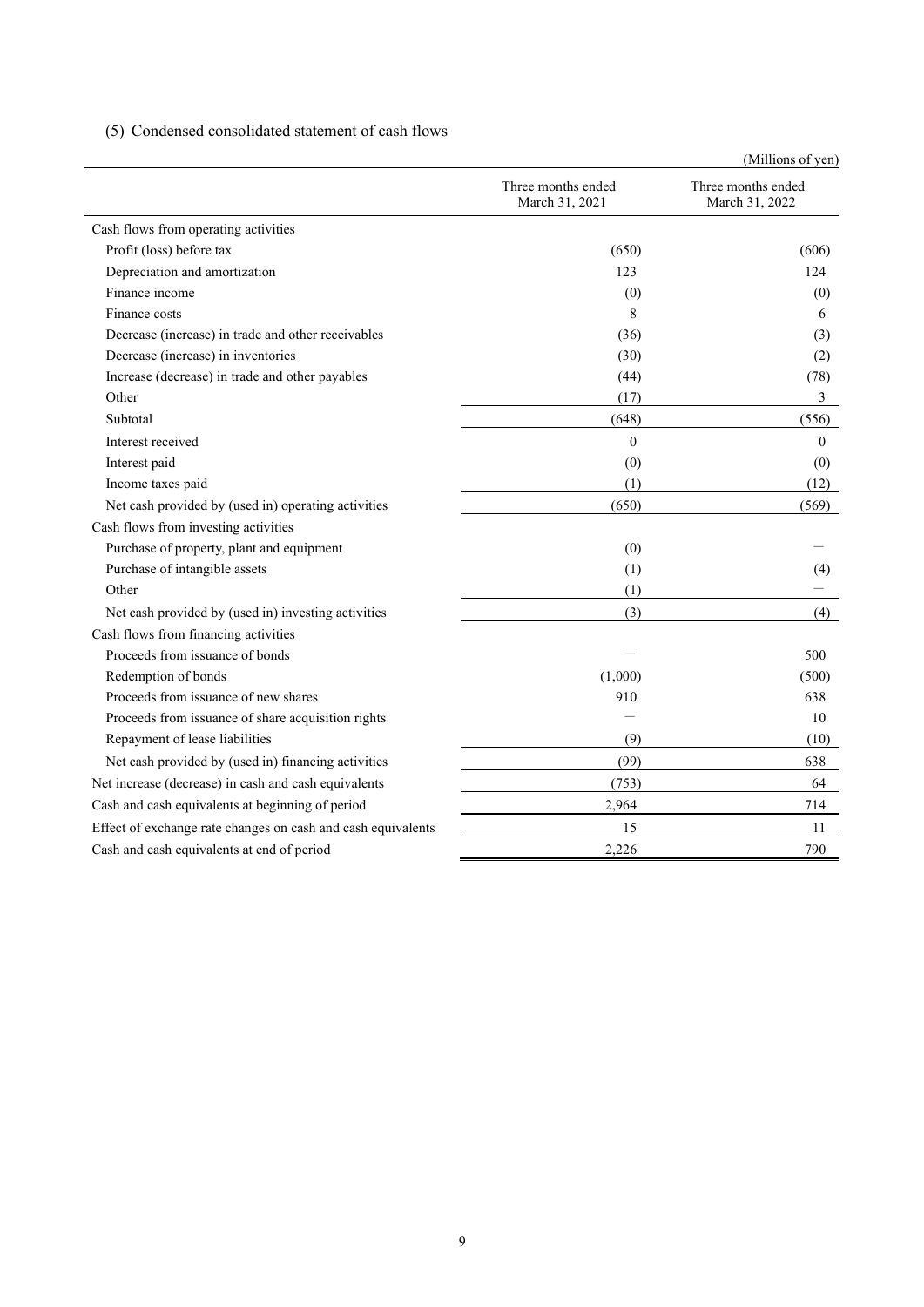<span id="page-10-0"></span>(5) Condensed consolidated statement of cash flows

|                                                              |                                      | (Millions of yen)                    |
|--------------------------------------------------------------|--------------------------------------|--------------------------------------|
|                                                              | Three months ended<br>March 31, 2021 | Three months ended<br>March 31, 2022 |
| Cash flows from operating activities                         |                                      |                                      |
| Profit (loss) before tax                                     | (650)                                | (606)                                |
| Depreciation and amortization                                | 123                                  | 124                                  |
| Finance income                                               | (0)                                  | (0)                                  |
| Finance costs                                                | 8                                    | 6                                    |
| Decrease (increase) in trade and other receivables           | (36)                                 | (3)                                  |
| Decrease (increase) in inventories                           | (30)                                 | (2)                                  |
| Increase (decrease) in trade and other payables              | (44)                                 | (78)                                 |
| Other                                                        | (17)                                 | 3                                    |
| Subtotal                                                     | (648)                                | (556)                                |
| Interest received                                            | $\theta$                             | $\mathbf{0}$                         |
| Interest paid                                                | (0)                                  | (0)                                  |
| Income taxes paid                                            | (1)                                  | (12)                                 |
| Net cash provided by (used in) operating activities          | (650)                                | (569)                                |
| Cash flows from investing activities                         |                                      |                                      |
| Purchase of property, plant and equipment                    | (0)                                  |                                      |
| Purchase of intangible assets                                | (1)                                  | (4)                                  |
| Other                                                        | (1)                                  |                                      |
| Net cash provided by (used in) investing activities          | (3)                                  | (4)                                  |
| Cash flows from financing activities                         |                                      |                                      |
| Proceeds from issuance of bonds                              |                                      | 500                                  |
| Redemption of bonds                                          | (1,000)                              | (500)                                |
| Proceeds from issuance of new shares                         | 910                                  | 638                                  |
| Proceeds from issuance of share acquisition rights           |                                      | 10                                   |
| Repayment of lease liabilities                               | (9)                                  | (10)                                 |
| Net cash provided by (used in) financing activities          | (99)                                 | 638                                  |
| Net increase (decrease) in cash and cash equivalents         | (753)                                | 64                                   |
| Cash and cash equivalents at beginning of period             | 2,964                                | 714                                  |
| Effect of exchange rate changes on cash and cash equivalents | 15                                   | 11                                   |
| Cash and cash equivalents at end of period                   | 2,226                                | 790                                  |
|                                                              |                                      |                                      |